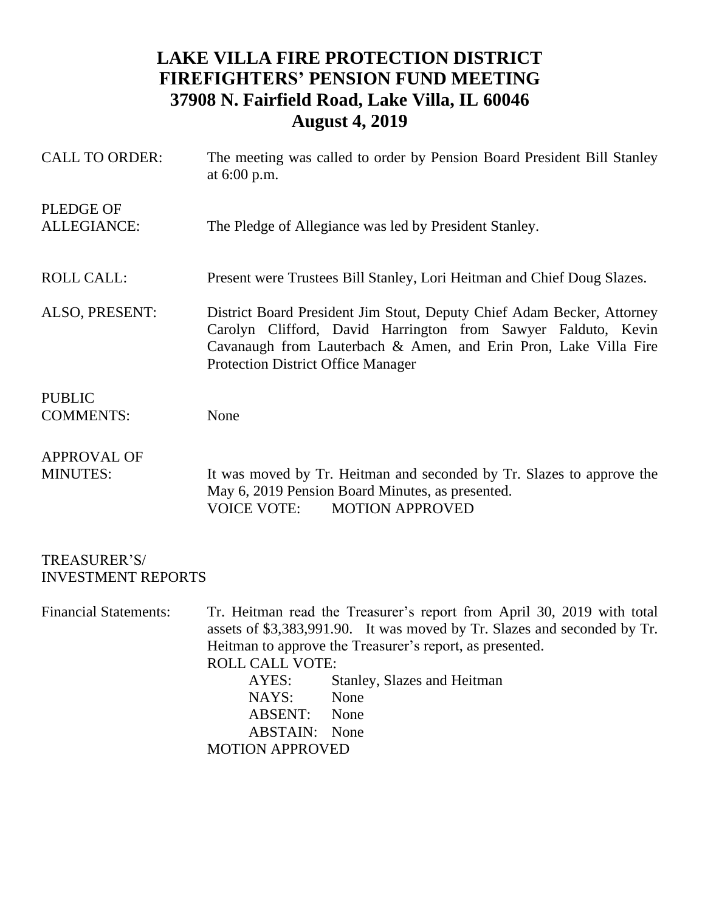## **LAKE VILLA FIRE PROTECTION DISTRICT FIREFIGHTERS' PENSION FUND MEETING 37908 N. Fairfield Road, Lake Villa, IL 60046 August 4, 2019**

| <b>CALL TO ORDER:</b>    | The meeting was called to order by Pension Board President Bill Stanley<br>at $6:00$ p.m.                                                                                                                                                                |
|--------------------------|----------------------------------------------------------------------------------------------------------------------------------------------------------------------------------------------------------------------------------------------------------|
| PLEDGE OF<br>ALLEGIANCE: | The Pledge of Allegiance was led by President Stanley.                                                                                                                                                                                                   |
| <b>ROLL CALL:</b>        | Present were Trustees Bill Stanley, Lori Heitman and Chief Doug Slazes.                                                                                                                                                                                  |
| ALSO, PRESENT:           | District Board President Jim Stout, Deputy Chief Adam Becker, Attorney<br>Carolyn Clifford, David Harrington from Sawyer Falduto, Kevin<br>Cavanaugh from Lauterbach & Amen, and Erin Pron, Lake Villa Fire<br><b>Protection District Office Manager</b> |
| <b>PUBLIC</b>            |                                                                                                                                                                                                                                                          |
| <b>COMMENTS:</b>         | None                                                                                                                                                                                                                                                     |
| <b>APPROVAL OF</b>       |                                                                                                                                                                                                                                                          |
| <b>MINUTES:</b>          | It was moved by Tr. Heitman and seconded by Tr. Slazes to approve the<br>May 6, 2019 Pension Board Minutes, as presented.<br><b>MOTION APPROVED</b><br><b>VOICE VOTE:</b>                                                                                |

TREASURER'S/ INVESTMENT REPORTS

Financial Statements: Tr. Heitman read the Treasurer's report from April 30, 2019 with total assets of \$3,383,991.90. It was moved by Tr. Slazes and seconded by Tr. Heitman to approve the Treasurer's report, as presented. ROLL CALL VOTE: AYES: Stanley, Slazes and Heitman NAYS: None ABSENT: None ABSTAIN: None MOTION APPROVED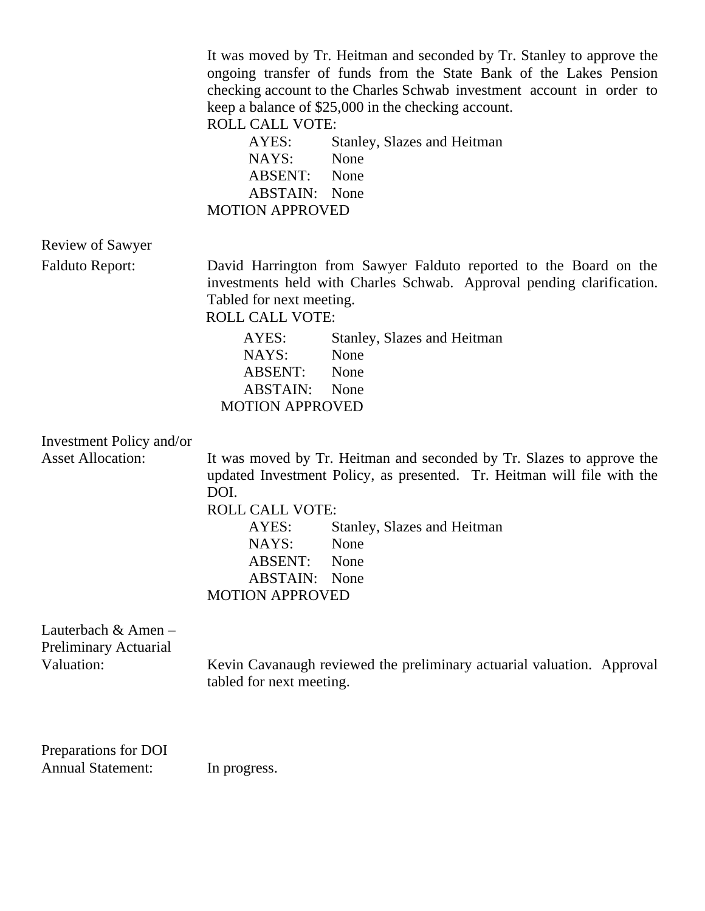|                                                      | It was moved by Tr. Heitman and seconded by Tr. Stanley to approve the<br>ongoing transfer of funds from the State Bank of the Lakes Pension<br>checking account to the Charles Schwab investment account in order to<br>keep a balance of \$25,000 in the checking account.<br><b>ROLL CALL VOTE:</b><br>Stanley, Slazes and Heitman<br>AYES:<br>None<br>NAYS:<br><b>ABSENT:</b> None<br><b>ABSTAIN:</b> None<br><b>MOTION APPROVED</b> |  |  |
|------------------------------------------------------|------------------------------------------------------------------------------------------------------------------------------------------------------------------------------------------------------------------------------------------------------------------------------------------------------------------------------------------------------------------------------------------------------------------------------------------|--|--|
| <b>Review of Sawyer</b>                              |                                                                                                                                                                                                                                                                                                                                                                                                                                          |  |  |
| <b>Falduto Report:</b>                               | David Harrington from Sawyer Falduto reported to the Board on the<br>investments held with Charles Schwab. Approval pending clarification.<br>Tabled for next meeting.<br><b>ROLL CALL VOTE:</b><br>AYES:<br>Stanley, Slazes and Heitman                                                                                                                                                                                                 |  |  |
|                                                      | NAYS:<br>None<br><b>ABSENT:</b><br>None                                                                                                                                                                                                                                                                                                                                                                                                  |  |  |
|                                                      | <b>ABSTAIN:</b><br>None<br><b>MOTION APPROVED</b>                                                                                                                                                                                                                                                                                                                                                                                        |  |  |
| Investment Policy and/or<br><b>Asset Allocation:</b> | It was moved by Tr. Heitman and seconded by Tr. Slazes to approve the<br>updated Investment Policy, as presented. Tr. Heitman will file with the<br>DOI.                                                                                                                                                                                                                                                                                 |  |  |
|                                                      | <b>ROLL CALL VOTE:</b>                                                                                                                                                                                                                                                                                                                                                                                                                   |  |  |
|                                                      | AYES:<br>Stanley, Slazes and Heitman                                                                                                                                                                                                                                                                                                                                                                                                     |  |  |
|                                                      | NAYS:<br>None<br><b>ABSENT:</b><br>None                                                                                                                                                                                                                                                                                                                                                                                                  |  |  |
|                                                      | <b>ABSTAIN:</b><br>None                                                                                                                                                                                                                                                                                                                                                                                                                  |  |  |
|                                                      | <b>MOTION APPROVED</b>                                                                                                                                                                                                                                                                                                                                                                                                                   |  |  |
| Lauterbach & Amen -<br>Preliminary Actuarial         |                                                                                                                                                                                                                                                                                                                                                                                                                                          |  |  |
| Valuation:                                           | Kevin Cavanaugh reviewed the preliminary actuarial valuation. Approval<br>tabled for next meeting.                                                                                                                                                                                                                                                                                                                                       |  |  |
| Preparations for DOI<br><b>Annual Statement:</b>     | In progress.                                                                                                                                                                                                                                                                                                                                                                                                                             |  |  |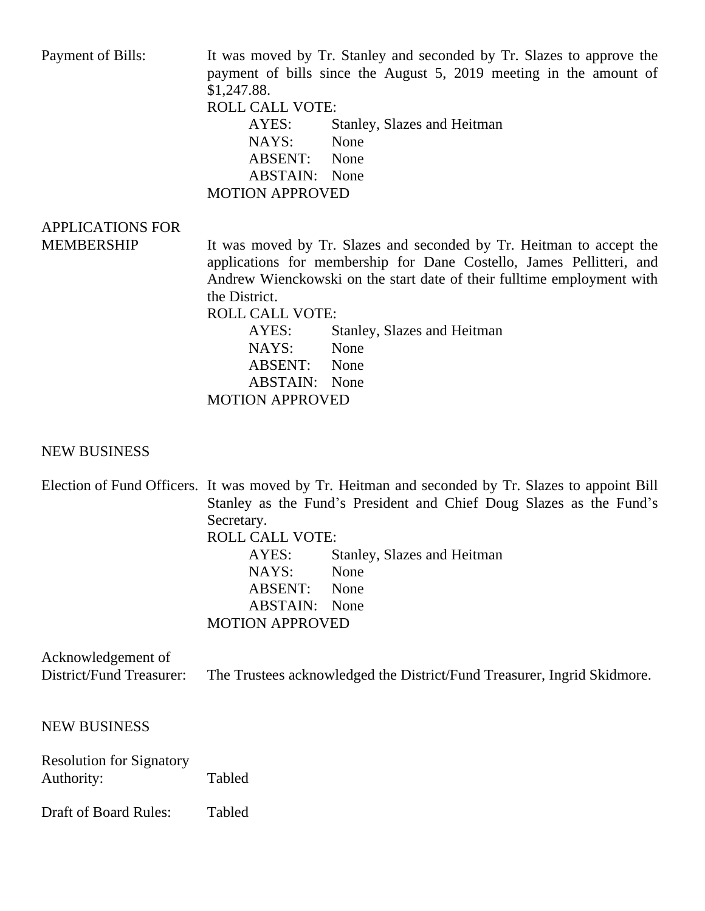Payment of Bills: It was moved by Tr. Stanley and seconded by Tr. Slazes to approve the payment of bills since the August 5, 2019 meeting in the amount of \$1,247.88. ROLL CALL VOTE: AYES: Stanley, Slazes and Heitman NAYS: None ABSENT: None ABSTAIN: None MOTION APPROVED APPLICATIONS FOR MEMBERSHIP It was moved by Tr. Slazes and seconded by Tr. Heitman to accept the applications for membership for Dane Costello, James Pellitteri, and Andrew Wienckowski on the start date of their fulltime employment with the District.

ROLL CALL VOTE:

AYES: Stanley, Slazes and Heitman NAYS: None ABSENT: None ABSTAIN: None MOTION APPROVED

## NEW BUSINESS

| Election of Fund Officers. It was moved by Tr. Heitman and seconded by Tr. Slazes to appoint Bill |                                                                         |  |  |
|---------------------------------------------------------------------------------------------------|-------------------------------------------------------------------------|--|--|
| Stanley as the Fund's President and Chief Doug Slazes as the Fund's                               |                                                                         |  |  |
| Secretary.                                                                                        |                                                                         |  |  |
| <b>ROLL CALL VOTE:</b>                                                                            |                                                                         |  |  |
| AYES:                                                                                             | Stanley, Slazes and Heitman                                             |  |  |
| NAYS:                                                                                             | None                                                                    |  |  |
| <b>ABSENT:</b>                                                                                    | None                                                                    |  |  |
| <b>ABSTAIN:</b> None                                                                              |                                                                         |  |  |
| <b>MOTION APPROVED</b>                                                                            |                                                                         |  |  |
|                                                                                                   | The Trustees acknowledged the District/Fund Treasurer, Ingrid Skidmore. |  |  |
|                                                                                                   |                                                                         |  |  |
| Tabled                                                                                            |                                                                         |  |  |
|                                                                                                   |                                                                         |  |  |

Draft of Board Rules: Tabled